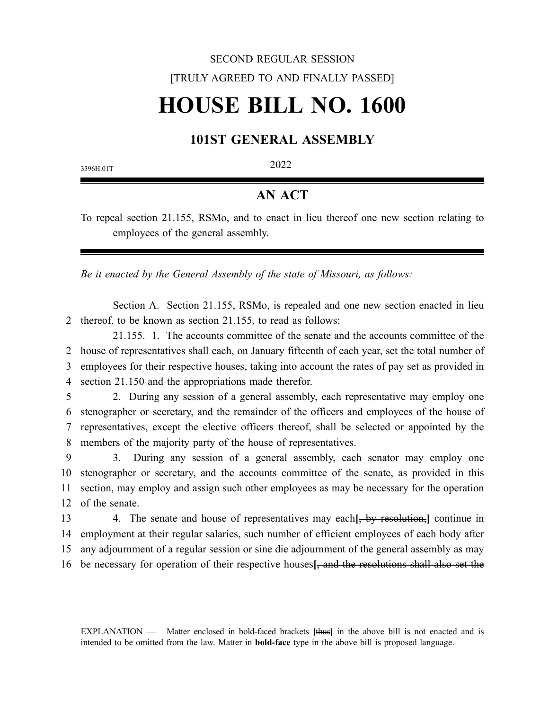## SECOND REGULAR SESSION [TRULY AGREED TO AND FINALLY PASSED] **HOUSE BILL NO. 1600**

## **101ST GENERAL ASSEMBLY**

3396H.01T 2022

## **AN ACT**

To repeal section 21.155, RSMo, and to enact in lieu thereof one new section relating to employees of the general assembly.

*Be it enacted by the General Assembly of the state of Missouri, as follows:*

Section A. Section 21.155, RSMo, is repealed and one new section enacted in lieu 2 thereof, to be known as section 21.155, to read as follows:

21.155. 1. The accounts committee of the senate and the accounts committee of the 2 house of representatives shall each, on January fifteenth of each year, set the total number of 3 employees for their respective houses, taking into account the rates of pay set as provided in 4 section 21.150 and the appropriations made therefor.

5 2. During any session of a general assembly, each representative may employ one 6 stenographer or secretary, and the remainder of the officers and employees of the house of 7 representatives, except the elective officers thereof, shall be selected or appointed by the 8 members of the majority party of the house of representatives.

9 3. During any session of a general assembly, each senator may employ one 10 stenographer or secretary, and the accounts committee of the senate, as provided in this 11 section, may employ and assign such other employees as may be necessary for the operation 12 of the senate.

13 4. The senate and house of representatives may each**[**, by resolution,**]** continue in 14 employment at their regular salaries, such number of efficient employees of each body after 15 any adjournment of a regular session or sine die adjournment of the general assembly as may 16 be necessary for operation of their respective houses**[**, and the resolutions shall also set the

EXPLANATION — Matter enclosed in bold-faced brackets **[**thus**]** in the above bill is not enacted and is intended to be omitted from the law. Matter in **bold-face** type in the above bill is proposed language.